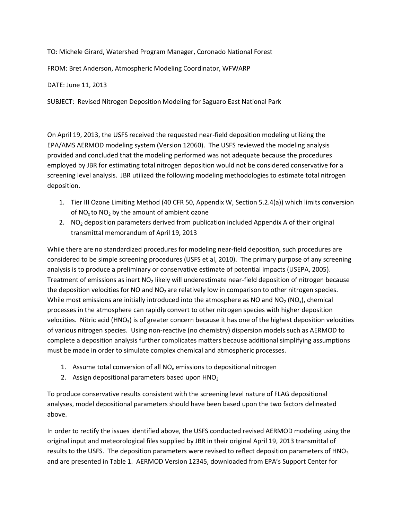TO: Michele Girard, Watershed Program Manager, Coronado National Forest

FROM: Bret Anderson, Atmospheric Modeling Coordinator, WFWARP

DATE: June 11, 2013

SUBJECT: Revised Nitrogen Deposition Modeling for Saguaro East National Park

On April 19, 2013, the USFS received the requested near-field deposition modeling utilizing the EPA/AMS AERMOD modeling system (Version 12060). The USFS reviewed the modeling analysis provided and concluded that the modeling performed was not adequate because the procedures employed by JBR for estimating total nitrogen deposition would not be considered conservative for a screening level analysis. JBR utilized the following modeling methodologies to estimate total nitrogen deposition.

- 1. Tier III Ozone Limiting Method (40 CFR 50, Appendix W, Section 5.2.4(a)) which limits conversion of  $NO_x$  to  $NO_2$  by the amount of ambient ozone
- 2. NO<sub>2</sub> deposition parameters derived from publication included Appendix A of their original transmittal memorandum of April 19, 2013

While there are no standardized procedures for modeling near-field deposition, such procedures are considered to be simple screening procedures (USFS et al, 2010). The primary purpose of any screening analysis is to produce a preliminary or conservative estimate of potential impacts (USEPA, 2005). Treatment of emissions as inert  $NO<sub>2</sub>$  likely will underestimate near-field deposition of nitrogen because the deposition velocities for NO and  $NO<sub>2</sub>$  are relatively low in comparison to other nitrogen species. While most emissions are initially introduced into the atmosphere as NO and NO<sub>2</sub> (NO<sub>x</sub>), chemical processes in the atmosphere can rapidly convert to other nitrogen species with higher deposition velocities. Nitric acid (HNO<sub>3</sub>) is of greater concern because it has one of the highest deposition velocities of various nitrogen species. Using non-reactive (no chemistry) dispersion models such as AERMOD to complete a deposition analysis further complicates matters because additional simplifying assumptions must be made in order to simulate complex chemical and atmospheric processes.

- 1. Assume total conversion of all  $NO<sub>x</sub>$  emissions to depositional nitrogen
- 2. Assign depositional parameters based upon  $HNO<sub>3</sub>$

To produce conservative results consistent with the screening level nature of FLAG depositional analyses, model depositional parameters should have been based upon the two factors delineated above.

In order to rectify the issues identified above, the USFS conducted revised AERMOD modeling using the original input and meteorological files supplied by JBR in their original April 19, 2013 transmittal of results to the USFS. The deposition parameters were revised to reflect deposition parameters of HNO<sub>3</sub> and are presented in Table 1. AERMOD Version 12345, downloaded from EPA's Support Center for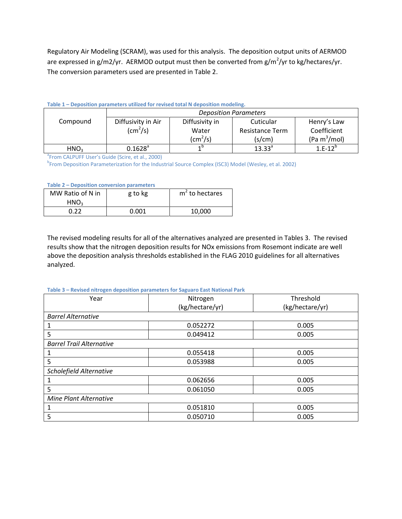Regulatory Air Modeling (SCRAM), was used for this analysis. The deposition output units of AERMOD are expressed in g/m2/yr. AERMOD output must then be converted from g/m<sup>2</sup>/yr to kg/hectares/yr. The conversion parameters used are presented in Table 2.

|  | Table 1 - Deposition parameters utilized for revised total N deposition modeling. |  |  |  |
|--|-----------------------------------------------------------------------------------|--|--|--|
|  |                                                                                   |  |  |  |

|                  | <b>Deposition Parameters</b> |                |                        |                 |  |  |
|------------------|------------------------------|----------------|------------------------|-----------------|--|--|
| Compound         | Diffusivity in Air           | Diffusivity in | Cuticular              | Henry's Law     |  |  |
|                  | $\text{(cm}^2\text{/s)}$     | Water          | <b>Resistance Term</b> | Coefficient     |  |  |
|                  |                              | $\rm (cm^2/s)$ | (s/cm)                 | (Pa $m^3$ /mol) |  |  |
| HNO <sub>3</sub> | $0.1628^a$                   | 4 D            | $13.33^{a}$            | $1.E-12^{b}$    |  |  |

<sup>a</sup> From CALPUFF User's Guide (Scire, et al., 2000)

<sup>b</sup> From Deposition Parameterization for the Industrial Source Complex (ISC3) Model (Wesley, et al. 2002)

## **Table 2 – Deposition conversion parameters**

| MW Ratio of N in<br>HNO <sub>3</sub> | g to kg | m <sup>2</sup> to hectares |
|--------------------------------------|---------|----------------------------|
| በ ንን                                 | 0.001   | 10.000                     |

The revised modeling results for all of the alternatives analyzed are presented in Tables 3. The revised results show that the nitrogen deposition results for NOx emissions from Rosemont indicate are well above the deposition analysis thresholds established in the FLAG 2010 guidelines for all alternatives analyzed.

## **Table 3 – Revised nitrogen deposition parameters for Saguaro East National Park**

| Year                            | Nitrogen        | Threshold       |
|---------------------------------|-----------------|-----------------|
|                                 | (kg/hectare/yr) | (kg/hectare/yr) |
| <b>Barrel Alternative</b>       |                 |                 |
|                                 | 0.052272        | 0.005           |
| 5                               | 0.049412        | 0.005           |
| <b>Barrel Trail Alternative</b> |                 |                 |
|                                 | 0.055418        | 0.005           |
| 5                               | 0.053988        | 0.005           |
| Scholefield Alternative         |                 |                 |
|                                 | 0.062656        | 0.005           |
| 5                               | 0.061050        | 0.005           |
| Mine Plant Alternative          |                 |                 |
|                                 | 0.051810        | 0.005           |
| 5                               | 0.050710        | 0.005           |